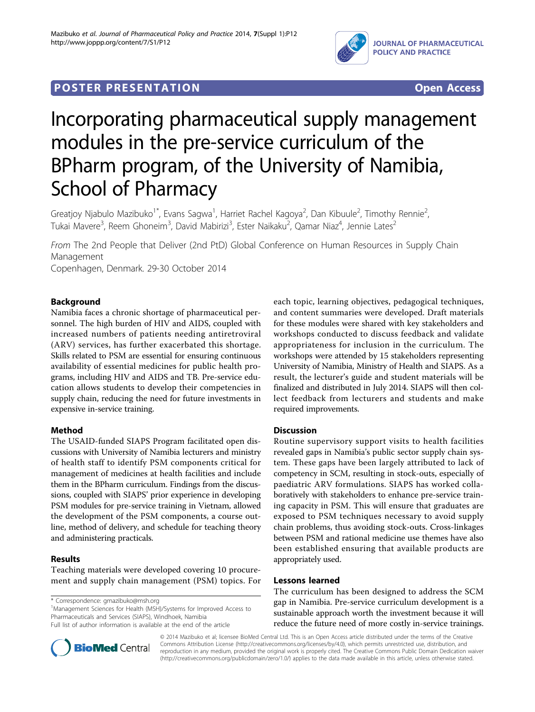

### **POSTER PRESENTATION CONSUMING ACCESS**

# Incorporating pharmaceutical supply management modules in the pre-service curriculum of the BPharm program, of the University of Namibia, School of Pharmacy

Greatjoy Njabulo Mazibuko<sup>1\*</sup>, Evans Sagwa<sup>1</sup>, Harriet Rachel Kagoya<sup>2</sup>, Dan Kibuule<sup>2</sup>, Timothy Rennie<sup>2</sup> , Tukai Mavere<sup>3</sup>, Reem Ghoneim<sup>3</sup>, David Mabirizi<sup>3</sup>, Ester Naikaku<sup>2</sup>, Qamar Niaz<sup>4</sup>, Jennie Lates<sup>2</sup>

From The 2nd People that Deliver (2nd PtD) Global Conference on Human Resources in Supply Chain Management

Copenhagen, Denmark. 29-30 October 2014

#### Background

Namibia faces a chronic shortage of pharmaceutical personnel. The high burden of HIV and AIDS, coupled with increased numbers of patients needing antiretroviral (ARV) services, has further exacerbated this shortage. Skills related to PSM are essential for ensuring continuous availability of essential medicines for public health programs, including HIV and AIDS and TB. Pre-service education allows students to develop their competencies in supply chain, reducing the need for future investments in expensive in-service training.

#### Method

The USAID-funded SIAPS Program facilitated open discussions with University of Namibia lecturers and ministry of health staff to identify PSM components critical for management of medicines at health facilities and include them in the BPharm curriculum. Findings from the discussions, coupled with SIAPS' prior experience in developing PSM modules for pre-service training in Vietnam, allowed the development of the PSM components, a course outline, method of delivery, and schedule for teaching theory and administering practicals.

#### Results

Teaching materials were developed covering 10 procurement and supply chain management (PSM) topics. For

\* Correspondence: [gmazibuko@msh.org](mailto:gmazibuko@msh.org)

<sup>1</sup>Management Sciences for Health (MSH)/Systems for Improved Access to Pharmaceuticals and Services (SIAPS), Windhoek, Namibia Full list of author information is available at the end of the article

each topic, learning objectives, pedagogical techniques, and content summaries were developed. Draft materials for these modules were shared with key stakeholders and workshops conducted to discuss feedback and validate appropriateness for inclusion in the curriculum. The workshops were attended by 15 stakeholders representing University of Namibia, Ministry of Health and SIAPS. As a result, the lecturer's guide and student materials will be finalized and distributed in July 2014. SIAPS will then collect feedback from lecturers and students and make required improvements.

#### **Discussion**

Routine supervisory support visits to health facilities revealed gaps in Namibia's public sector supply chain system. These gaps have been largely attributed to lack of competency in SCM, resulting in stock-outs, especially of paediatric ARV formulations. SIAPS has worked collaboratively with stakeholders to enhance pre-service training capacity in PSM. This will ensure that graduates are exposed to PSM techniques necessary to avoid supply chain problems, thus avoiding stock-outs. Cross-linkages between PSM and rational medicine use themes have also been established ensuring that available products are appropriately used.

#### Lessons learned

The curriculum has been designed to address the SCM gap in Namibia. Pre-service curriculum development is a sustainable approach worth the investment because it will reduce the future need of more costly in-service trainings.



© 2014 Mazibuko et al; licensee BioMed Central Ltd. This is an Open Access article distributed under the terms of the Creative Commons Attribution License [\(http://creativecommons.org/licenses/by/4.0](http://creativecommons.org/licenses/by/4.0)), which permits unrestricted use, distribution, and reproduction in any medium, provided the original work is properly cited. The Creative Commons Public Domain Dedication waiver [\(http://creativecommons.org/publicdomain/zero/1.0/](http://creativecommons.org/publicdomain/zero/1.0/)) applies to the data made available in this article, unless otherwise stated.